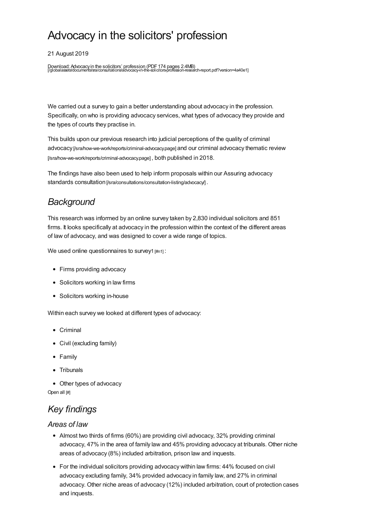# Advocacy in the solicitors' profession

21 August 2019

Download: Advocacyin the solicitors' profession (PDF174 pages 2.4MB) [\[/globalassets/documents/sra/consultations/advocacy-in-the-solicitors-profession-research-report.pdf?version=4a40e1](https://www.sra.org.uk/globalassets/documents/sra/consultations/advocacy-in-the-solicitors-profession-research-report.pdf?version=4a40e1)]

We carried out a survey to gain a better understanding about advocacy in the profession. Specifically, on who is providing advocacy services, what types of advocacy they provide and the types of courts they practise in.

This builds upon our previous research into judicial perceptions of the quality of criminal advocacy [\[/sra/how-we-work/reports/criminal-advocacy.page\]](https://www.sra.org.uk/sra/how-we-work/reports/criminal-advocacy.page) and our criminal advocacy thematic review [/sra/how-we-work/reports/criminal-advocacy.page] , both published in 2018.

The findings have also been used to help inform proposals within our Assuring advocacy standards consultation [/sra/consultations/consultation-listing/advocacy].

# *Background*

This research was informed by an online survey taken by 2,830 individual solicitors and 851 firms. It looks specifically at advocacy in the profession within the context of the different areas of law of advocacy, and was designed to cover a wide range of topics.

We used online questionnaires to survey1 [\[#n1\]](#page-3-0) :

- Firms providing advocacy
- Solicitors working in law firms
- Solicitors working in-house

Within each survey we looked at different types of advocacy:

- Criminal
- Civil (excluding family)
- Family
- Tribunals
- Other types of advocacy

Open all [#]

# *Key [findings](#page-1-0)*

#### *Areas of law*

- Almost two thirds of firms (60%) are providing civil advocacy, 32% providing criminal advocacy, 47% in the area of family law and 45% providing advocacy at tribunals. Other niche areas of advocacy (8%) included arbitration, prison law and inquests.
- For the individual solicitors providing advocacy within law firms: 44% focused on civil advocacy excluding family, 34% provided advocacy in family law, and 27% in criminal advocacy. Other niche areas of advocacy (12%) included arbitration, court of protection cases and inquests.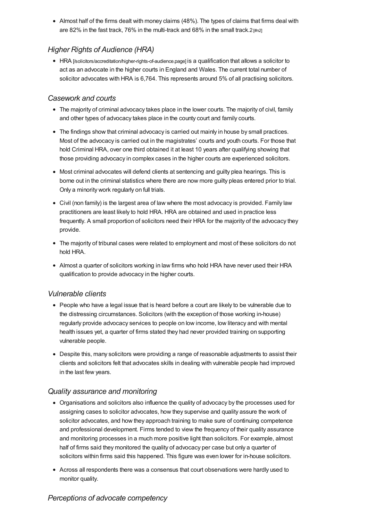<span id="page-1-0"></span>Almost half of the firms dealt with money claims (48%). The types of claims that firms deal with are 82% in the fast track, 76% in the multi-track and 68% in the small track.  $2 \frac{m}{2}$ 

# *Higher Rights of Audience (HRA)*

HRA [\[/solicitors/accreditation/higher-rights-of-audience.page\]](https://www.sra.org.uk/solicitors/accreditation/higher-rights-of-audience.page) is a qualification that allows a solicitor to act as an advocate in the higher courts in England and Wales. The current total number of solicitor advocates with HRA is 6,764. This represents around 5% of all practising solicitors.

### *Casework and courts*

- The majority of criminal advocacy takes place in the lower courts. The majority of civil, family and other types of advocacy takes place in the county court and family courts.
- The findings show that criminal advocacy is carried out mainly in house by small practices. Most of the advocacy is carried out in the magistrates' courts and youth courts. For those that hold Criminal HRA, over one third obtained it at least 10 years after qualifying showing that those providing advocacy in complex cases in the higher courts are experienced solicitors.
- Most criminal advocates will defend clients at sentencing and guilty plea hearings. This is borne out in the criminal statistics where there are now more guilty pleas entered prior to trial. Only a minority work regularly on full trials.
- Civil (non family) is the largest area of law where the most advocacy is provided. Family law practitioners are least likely to hold HRA. HRA are obtained and used in practice less frequently. A small proportion of solicitors need their HRA for the majority of the advocacy they provide.
- The majority of tribunal cases were related to employment and most of these solicitors do not hold HRA.
- Almost a quarter of solicitors working in law firms who hold HRA have never used their HRA qualification to provide advocacy in the higher courts.

# *Vulnerable clients*

- People who have a legal issue that is heard before a court are likely to be vulnerable due to the distressing circumstances. Solicitors (with the exception of those working in-house) regularly provide advocacy services to people on low income, low literacy and with mental health issues yet, a quarter of firms stated they had never provided training on supporting vulnerable people.
- Despite this, many solicitors were providing a range of reasonable adjustments to assist their clients and solicitors felt that advocates skills in dealing with vulnerable people had improved in the last few years.

#### *Quality assurance and monitoring*

- Organisations and solicitors also influence the quality of advocacy by the processes used for assigning cases to solicitor advocates, how they supervise and quality assure the work of solicitor advocates, and how they approach training to make sure of continuing competence and professional development. Firms tended to view the frequency of their quality assurance and monitoring processes in a much more positive light than solicitors. For example, almost half of firms said they monitored the quality of advocacy per case but only a quarter of solicitors within firms said this happened. This figure was even lower for in-house solicitors.
- Across all respondents there was a consensus that court observations were hardly used to monitor quality.

# *Perceptions of advocate competency*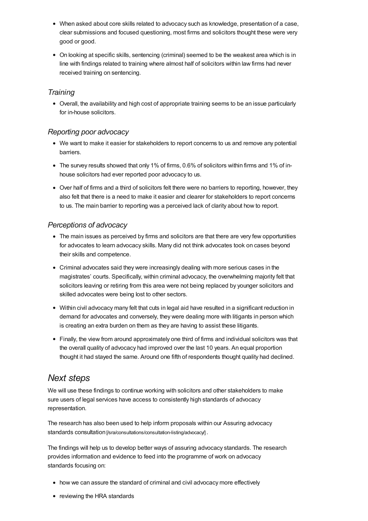- When asked about core skills related to advocacy such as knowledge, presentation of a case, clear submissions and focused questioning, most firms and solicitors thought these were very good or good.
- On looking at specific skills, sentencing (criminal) seemed to be the weakest area which is in line with findings related to training where almost half of solicitors within law firms had never received training on sentencing.

# *Training*

Overall, the availability and high cost of appropriate training seems to be an issue particularly for in-house solicitors.

### *Reporting poor advocacy*

- We want to make it easier for stakeholders to report concerns to us and remove any potential barriers.
- The survey results showed that only 1% of firms, 0.6% of solicitors within firms and 1% of inhouse solicitors had ever reported poor advocacy to us.
- Over half of firms and a third of solicitors felt there were no barriers to reporting, however, they also felt that there is a need to make it easier and clearer for stakeholders to report concerns to us. The main barrier to reporting was a perceived lack of clarity about how to report.

# *Perceptions of advocacy*

- The main issues as perceived by firms and solicitors are that there are very few opportunities for advocates to learn advocacy skills. Many did not think advocates took on cases beyond their skills and competence.
- Criminal advocates said they were increasingly dealing with more serious cases in the magistrates' courts. Specifically, within criminal advocacy, the overwhelming majority felt that solicitors leaving or retiring from this area were not being replaced by younger solicitors and skilled advocates were being lost to other sectors.
- Within civil advocacy many felt that cuts in legal aid have resulted in a significant reduction in demand for advocates and conversely, they were dealing more with litigants in person which is creating an extra burden on them as they are having to assist these litigants.
- Finally, the view from around approximately one third of firms and individual solicitors was that the overall quality of advocacy had improved over the last 10 years. An equal proportion thought it had stayed the same. Around one fifth of respondents thought quality had declined.

# *Next [steps](#page-2-0)*

<span id="page-2-0"></span>We will use these findings to continue working with solicitors and other stakeholders to make sure users of legal services have access to consistently high standards of advocacy representation.

The research has also been used to help inform proposals within our Assuring advocacy standards consultation [/sra/consultations/consultation-listing/advocacy].

The findings will help us to develop better ways of assuring advocacy standards. The research provides information and evidence to feed into the programme of work on advocacy standards focusing on:

- how we can assure the standard of criminal and civil advocacy more effectively
- reviewing the HRA standards